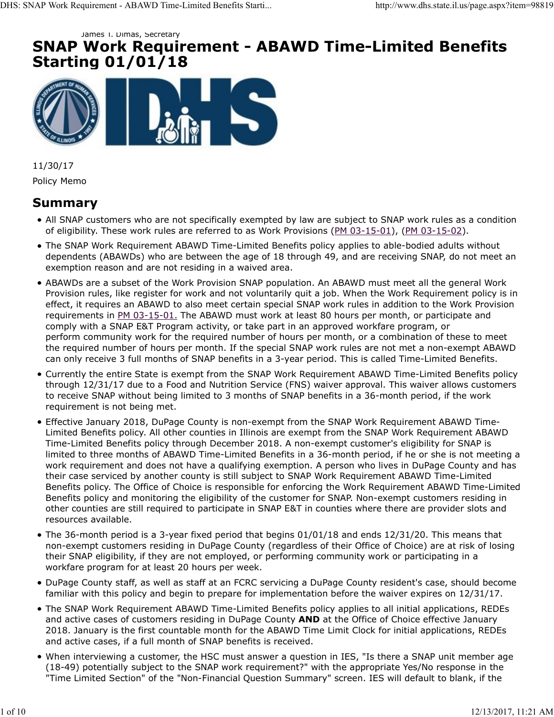# SNAP Work Requirement - ABAWD Time-Limited Benefits Starting 01/01/18 James I. Dimas, Secretary DHS: SNAP Work Requirement - ABAWD Time-Limited Benefits Starti... http://www.dhs.state.il.us/page.aspx?item=98819<br>
SNAP Work Requirement - ABAWD Time-Limited Benefits<br>
Starting 01/01/18



11/30/17 Policy Memo

# Summary

- All SNAP customers who are not specifically exempted by law are subject to SNAP work rules as a condition of eligibility. These work rules are referred to as Work Provisions (PM 03-15-01), (PM 03-15-02).
- The SNAP Work Requirement ABAWD Time-Limited Benefits policy applies to able-bodied adults without dependents (ABAWDs) who are between the age of 18 through 49, and are receiving SNAP, do not meet an exemption reason and are not residing in a waived area.
- ABAWDs are a subset of the Work Provision SNAP population. An ABAWD must meet all the general Work Provision rules, like register for work and not voluntarily quit a job. When the Work Requirement policy is in effect, it requires an ABAWD to also meet certain special SNAP work rules in addition to the Work Provision requirements in PM 03-15-01. The ABAWD must work at least 80 hours per month, or participate and comply with a SNAP E&T Program activity, or take part in an approved workfare program, or perform community work for the required number of hours per month, or a combination of these to meet the required number of hours per month. If the special SNAP work rules are not met a non-exempt ABAWD can only receive 3 full months of SNAP benefits in a 3-year period. This is called Time-Limited Benefits.
- Currently the entire State is exempt from the SNAP Work Requirement ABAWD Time-Limited Benefits policy through 12/31/17 due to a Food and Nutrition Service (FNS) waiver approval. This waiver allows customers to receive SNAP without being limited to 3 months of SNAP benefits in a 36-month period, if the work requirement is not being met.
- Effective January 2018, DuPage County is non-exempt from the SNAP Work Requirement ABAWD Time-Limited Benefits policy. All other counties in Illinois are exempt from the SNAP Work Requirement ABAWD Time-Limited Benefits policy through December 2018. A non-exempt customer's eligibility for SNAP is limited to three months of ABAWD Time-Limited Benefits in a 36-month period, if he or she is not meeting a work requirement and does not have a qualifying exemption. A person who lives in DuPage County and has their case serviced by another county is still subject to SNAP Work Requirement ABAWD Time-Limited Benefits policy. The Office of Choice is responsible for enforcing the Work Requirement ABAWD Time-Limited Benefits policy and monitoring the eligibility of the customer for SNAP. Non-exempt customers residing in other counties are still required to participate in SNAP E&T in counties where there are provider slots and resources available. their case sevitation of solution of SNMP benefits policy. The Office of Choice is responsible for enforcing the Work Requirement ABAWD Time-Limited<br>Benefits policy, The Office of Choice is responsible for enforcing the W
	- The 36-month period is a 3-year fixed period that begins 01/01/18 and ends 12/31/20. This means that non-exempt customers residing in DuPage County (regardless of their Office of Choice) are at risk of losing their SNAP eligibility, if they are not employed, or performing community work or participating in a workfare program for at least 20 hours per week.
	- DuPage County staff, as well as staff at an FCRC servicing a DuPage County resident's case, should become familiar with this policy and begin to prepare for implementation before the waiver expires on 12/31/17.
	- The SNAP Work Requirement ABAWD Time-Limited Benefits policy applies to all initial applications, REDEs and active cases of customers residing in DuPage County AND at the Office of Choice effective January 2018. January is the first countable month for the ABAWD Time Limit Clock for initial applications, REDEs and active cases, if a full month of SNAP benefits is received.
	- When interviewing a customer, the HSC must answer a question in IES, "Is there a SNAP unit member age (18-49) potentially subject to the SNAP work requirement?" with the appropriate Yes/No response in the "Time Limited Section" of the "Non-Financial Question Summary" screen. IES will default to blank, if the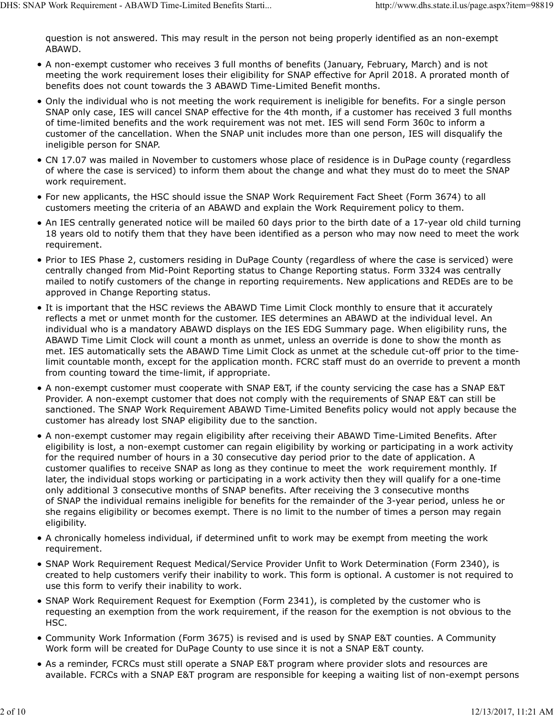question is not answered. This may result in the person not being properly identified as an non-exempt ABAWD. DHS: SNAP Work Requirement - ABAWD Time-Limited Benefits Starti... http://www.dhs.state.il.us/page.aspx?item=98819<br>question is not answered. This may result in the person not being properly identified as an non-exempt<br>ABAW

- A non-exempt customer who receives 3 full months of benefits (January, February, March) and is not meeting the work requirement loses their eligibility for SNAP effective for April 2018. A prorated month of benefits does not count towards the 3 ABAWD Time-Limited Benefit months.
- Only the individual who is not meeting the work requirement is ineligible for benefits. For a single person SNAP only case, IES will cancel SNAP effective for the 4th month, if a customer has received 3 full months of time-limited benefits and the work requirement was not met. IES will send Form 360c to inform a customer of the cancellation. When the SNAP unit includes more than one person, IES will disqualify the ineligible person for SNAP.
- CN 17.07 was mailed in November to customers whose place of residence is in DuPage county (regardless of where the case is serviced) to inform them about the change and what they must do to meet the SNAP work requirement.
- For new applicants, the HSC should issue the SNAP Work Requirement Fact Sheet (Form 3674) to all customers meeting the criteria of an ABAWD and explain the Work Requirement policy to them.
- An IES centrally generated notice will be mailed 60 days prior to the birth date of a 17-year old child turning 18 years old to notify them that they have been identified as a person who may now need to meet the work requirement.
- Prior to IES Phase 2, customers residing in DuPage County (regardless of where the case is serviced) were centrally changed from Mid-Point Reporting status to Change Reporting status. Form 3324 was centrally mailed to notify customers of the change in reporting requirements. New applications and REDEs are to be approved in Change Reporting status.
- It is important that the HSC reviews the ABAWD Time Limit Clock monthly to ensure that it accurately reflects a met or unmet month for the customer. IES determines an ABAWD at the individual level. An individual who is a mandatory ABAWD displays on the IES EDG Summary page. When eligibility runs, the ABAWD Time Limit Clock will count a month as unmet, unless an override is done to show the month as met. IES automatically sets the ABAWD Time Limit Clock as unmet at the schedule cut-off prior to the timelimit countable month, except for the application month. FCRC staff must do an override to prevent a month from counting toward the time-limit, if appropriate.
- A non-exempt customer must cooperate with SNAP E&T, if the county servicing the case has a SNAP E&T Provider. A non-exempt customer that does not comply with the requirements of SNAP E&T can still be sanctioned. The SNAP Work Requirement ABAWD Time-Limited Benefits policy would not apply because the customer has already lost SNAP eligibility due to the sanction.
- A non-exempt customer may regain eligibility after receiving their ABAWD Time-Limited Benefits. After eligibility is lost, a non-exempt customer can regain eligibility by working or participating in a work activity for the required number of hours in a 30 consecutive day period prior to the date of application. A customer qualifies to receive SNAP as long as they continue to meet the work requirement monthly. If later, the individual stops working or participating in a work activity then they will qualify for a one-time only additional 3 consecutive months of SNAP benefits. After receiving the 3 consecutive months of SNAP the individual remains ineligible for benefits for the remainder of the 3-year period, unless he or she regains eligibility or becomes exempt. There is no limit to the number of times a person may regain eligibility. later, the individual stops working or participating in a work activity then they will qualify for a one theorem only additional 3 consecutive months of SNAP benefits. After receiving the 3 consecutive months of SNAP the i
	- A chronically homeless individual, if determined unfit to work may be exempt from meeting the work requirement.
	- SNAP Work Requirement Request Medical/Service Provider Unfit to Work Determination (Form 2340), is created to help customers verify their inability to work. This form is optional. A customer is not required to use this form to verify their inability to work.
	- SNAP Work Requirement Request for Exemption (Form 2341), is completed by the customer who is requesting an exemption from the work requirement, if the reason for the exemption is not obvious to the HSC.
	- Community Work Information (Form 3675) is revised and is used by SNAP E&T counties. A Community Work form will be created for DuPage County to use since it is not a SNAP E&T county.
	- As a reminder, FCRCs must still operate a SNAP E&T program where provider slots and resources are available. FCRCs with a SNAP E&T program are responsible for keeping a waiting list of non-exempt persons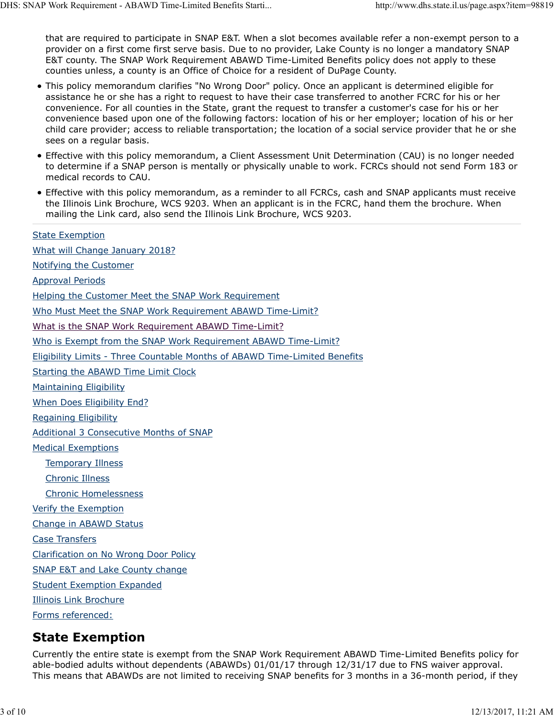that are required to participate in SNAP E&T. When a slot becomes available refer a non-exempt person to a provider on a first come first serve basis. Due to no provider, Lake County is no longer a mandatory SNAP E&T county. The SNAP Work Requirement ABAWD Time-Limited Benefits policy does not apply to these counties unless, a county is an Office of Choice for a resident of DuPage County. DHS: SNAP Work Requirement - ABAWD Time-Limited Benefits Starti... http://www.dhs.state.il.us/page.aspx?item=98819<br>that are required to participate in SNAP E&T. When a slot becomes available refer a non-exempt person to a<br>

- This policy memorandum clarifies "No Wrong Door" policy. Once an applicant is determined eligible for assistance he or she has a right to request to have their case transferred to another FCRC for his or her convenience. For all counties in the State, grant the request to transfer a customer's case for his or her convenience based upon one of the following factors: location of his or her employer; location of his or her child care provider; access to reliable transportation; the location of a social service provider that he or she sees on a regular basis.
- Effective with this policy memorandum, a Client Assessment Unit Determination (CAU) is no longer needed to determine if a SNAP person is mentally or physically unable to work. FCRCs should not send Form 183 or medical records to CAU.
- Effective with this policy memorandum, as a reminder to all FCRCs, cash and SNAP applicants must receive the Illinois Link Brochure, WCS 9203. When an applicant is in the FCRC, hand them the brochure. When mailing the Link card, also send the Illinois Link Brochure, WCS 9203.

State Exemption What will Change January 2018? Notifying the Customer Approval Periods Helping the Customer Meet the SNAP Work Requirement Who Must Meet the SNAP Work Requirement ABAWD Time-Limit? What is the SNAP Work Requirement ABAWD Time-Limit? Who is Exempt from the SNAP Work Requirement ABAWD Time-Limit? Eligibility Limits - Three Countable Months of ABAWD Time-Limited Benefits Starting the ABAWD Time Limit Clock Maintaining Eligibility When Does Eligibility End? Regaining Eligibility Additional 3 Consecutive Months of SNAP Medical Exemptions Temporary Illness Chronic Illness Chronic Homelessness Verify the Exemption Change in ABAWD Status Case Transfers Clarification on No Wrong Door Policy SNAP E&T and Lake County change Student Exemption Expanded Illinois Link Brochure Forms referenced: Chronic Lilness<br>
Chronic Homelessnesss<br>
Verify the Exemption<br>
Change in ABAWD Status<br>
Case Transfers<br>
Clarification on No Wrong Door Policy<br>
SNAP EXT and Lake County change<br>
Student Exemption<br>
Illinois Link Brochure<br>
Forms

#### State Exemption

Currently the entire state is exempt from the SNAP Work Requirement ABAWD Time-Limited Benefits policy for able-bodied adults without dependents (ABAWDs) 01/01/17 through 12/31/17 due to FNS waiver approval. This means that ABAWDs are not limited to receiving SNAP benefits for 3 months in a 36-month period, if they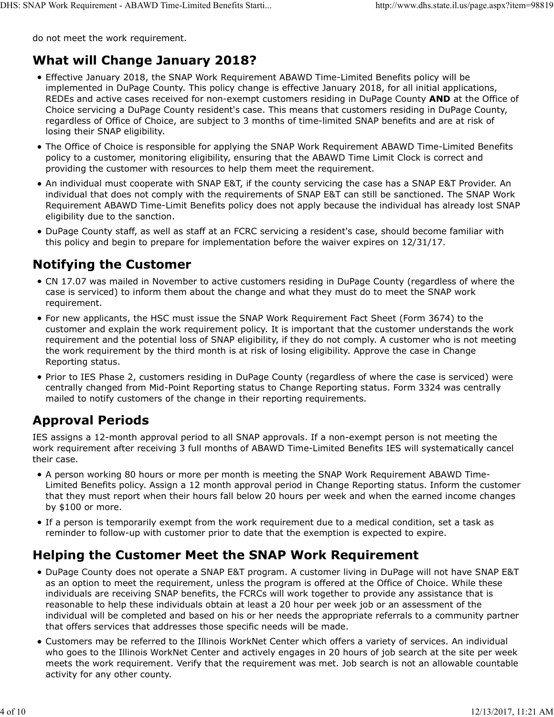do not meet the work requirement.

# What will Change January 2018? DHS: SNAP Work Requirement - ABAWD Time-Limited Benefits Starti... http://www.dhs.state.il.us/page.aspx?item=98819<br>do not meet the work requirement.<br>**What will Change January 2018?**

- Effective January 2018, the SNAP Work Requirement ABAWD Time-Limited Benefits policy will be implemented in DuPage County. This policy change is effective January 2018, for all initial applications, REDEs and active cases received for non-exempt customers residing in DuPage County AND at the Office of Choice servicing a DuPage County resident's case. This means that customers residing in DuPage County, regardless of Office of Choice, are subject to 3 months of time-limited SNAP benefits and are at risk of losing their SNAP eligibility.
- The Office of Choice is responsible for applying the SNAP Work Requirement ABAWD Time-Limited Benefits policy to a customer, monitoring eligibility, ensuring that the ABAWD Time Limit Clock is correct and providing the customer with resources to help them meet the requirement.
- An individual must cooperate with SNAP E&T, if the county servicing the case has a SNAP E&T Provider. An individual that does not comply with the requirements of SNAP E&T can still be sanctioned. The SNAP Work Requirement ABAWD Time-Limit Benefits policy does not apply because the individual has already lost SNAP eligibility due to the sanction.
- DuPage County staff, as well as staff at an FCRC servicing a resident's case, should become familiar with this policy and begin to prepare for implementation before the waiver expires on 12/31/17.

#### Notifying the Customer

- CN 17.07 was mailed in November to active customers residing in DuPage County (regardless of where the case is serviced) to inform them about the change and what they must do to meet the SNAP work requirement.
- For new applicants, the HSC must issue the SNAP Work Requirement Fact Sheet (Form 3674) to the customer and explain the work requirement policy. It is important that the customer understands the work requirement and the potential loss of SNAP eligibility, if they do not comply. A customer who is not meeting the work requirement by the third month is at risk of losing eligibility. Approve the case in Change Reporting status.
- Prior to IES Phase 2, customers residing in DuPage County (regardless of where the case is serviced) were centrally changed from Mid-Point Reporting status to Change Reporting status. Form 3324 was centrally mailed to notify customers of the change in their reporting requirements.

#### Approval Periods

IES assigns a 12-month approval period to all SNAP approvals. If a non-exempt person is not meeting the work requirement after receiving 3 full months of ABAWD Time-Limited Benefits IES will systematically cancel their case.

- A person working 80 hours or more per month is meeting the SNAP Work Requirement ABAWD Time-Limited Benefits policy. Assign a 12 month approval period in Change Reporting status. Inform the customer that they must report when their hours fall below 20 hours per week and when the earned income changes by \$100 or more.
- If a person is temporarily exempt from the work requirement due to a medical condition, set a task as reminder to follow-up with customer prior to date that the exemption is expected to expire.

## Helping the Customer Meet the SNAP Work Requirement

- DuPage County does not operate a SNAP E&T program. A customer living in DuPage will not have SNAP E&T as an option to meet the requirement, unless the program is offered at the Office of Choice. While these individuals are receiving SNAP benefits, the FCRCs will work together to provide any assistance that is reasonable to help these individuals obtain at least a 20 hour per week job or an assessment of the individual will be completed and based on his or her needs the appropriate referrals to a community partner that offers services that addresses those specific needs will be made. A present now keep the methanic stress that alternation in the content of the stress of the stress of the stress of the stress of the stress of the stress of the stress of the stress of the present that the general ty and
	- Customers may be referred to the Illinois WorkNet Center which offers a variety of services. An individual who goes to the Illinois WorkNet Center and actively engages in 20 hours of job search at the site per week meets the work requirement. Verify that the requirement was met. Job search is not an allowable countable activity for any other county.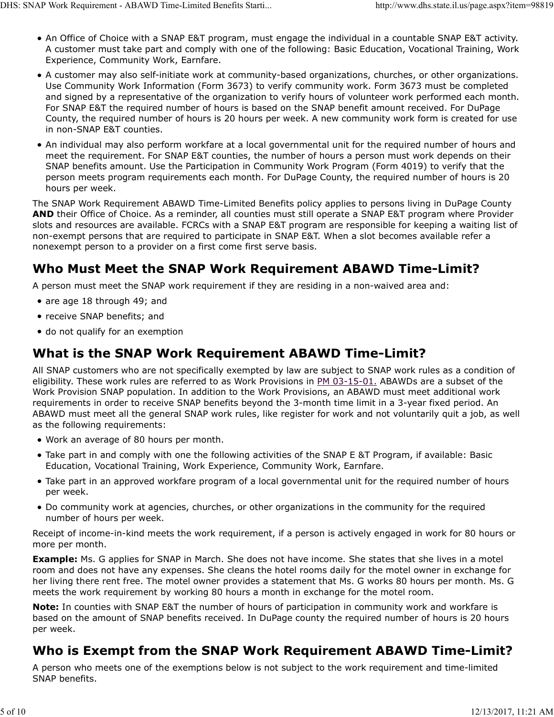- An Office of Choice with a SNAP E&T program, must engage the individual in a countable SNAP E&T activity. A customer must take part and comply with one of the following: Basic Education, Vocational Training, Work Experience, Community Work, Earnfare. UHS: SNAP Work Requirement - ABAWD Time-Limited Benefits Starti... http://www.dhs.state.il.us/page.aspx?item=98819<br>
● An Office of Choice with a SNAP E&T program, must engage the individual in a countable SNAP E&T activit
	- A customer may also self-initiate work at community-based organizations, churches, or other organizations. Use Community Work Information (Form 3673) to verify community work. Form 3673 must be completed and signed by a representative of the organization to verify hours of volunteer work performed each month. For SNAP E&T the required number of hours is based on the SNAP benefit amount received. For DuPage County, the required number of hours is 20 hours per week. A new community work form is created for use in non-SNAP E&T counties.
	- An individual may also perform workfare at a local governmental unit for the required number of hours and meet the requirement. For SNAP E&T counties, the number of hours a person must work depends on their SNAP benefits amount. Use the Participation in Community Work Program (Form 4019) to verify that the person meets program requirements each month. For DuPage County, the required number of hours is 20 hours per week.

The SNAP Work Requirement ABAWD Time-Limited Benefits policy applies to persons living in DuPage County AND their Office of Choice. As a reminder, all counties must still operate a SNAP E&T program where Provider slots and resources are available. FCRCs with a SNAP E&T program are responsible for keeping a waiting list of non-exempt persons that are required to participate in SNAP E&T. When a slot becomes available refer a nonexempt person to a provider on a first come first serve basis.

#### Who Must Meet the SNAP Work Requirement ABAWD Time-Limit?

A person must meet the SNAP work requirement if they are residing in a non-waived area and:

- are age 18 through 49; and
- receive SNAP benefits; and
- do not qualify for an exemption

#### What is the SNAP Work Requirement ABAWD Time-Limit?

All SNAP customers who are not specifically exempted by law are subject to SNAP work rules as a condition of eligibility. These work rules are referred to as Work Provisions in PM 03-15-01. ABAWDs are a subset of the Work Provision SNAP population. In addition to the Work Provisions, an ABAWD must meet additional work requirements in order to receive SNAP benefits beyond the 3-month time limit in a 3-year fixed period. An ABAWD must meet all the general SNAP work rules, like register for work and not voluntarily quit a job, as well as the following requirements:

- Work an average of 80 hours per month.
- Take part in and comply with one the following activities of the SNAP E &T Program, if available: Basic Education, Vocational Training, Work Experience, Community Work, Earnfare.
- Take part in an approved workfare program of a local governmental unit for the required number of hours per week.
- Do community work at agencies, churches, or other organizations in the community for the required number of hours per week.

Receipt of income-in-kind meets the work requirement, if a person is actively engaged in work for 80 hours or more per month.

**Example:** Ms. G applies for SNAP in March. She does not have income. She states that she lives in a motel room and does not have any expenses. She cleans the hotel rooms daily for the motel owner in exchange for her living there rent free. The motel owner provides a statement that Ms. G works 80 hours per month. Ms. G meets the work requirement by working 80 hours a month in exchange for the motel room. • Take part in an approved workfare program of a local governmental unit for the required number of hours<br>
per week.<br>
• Do community work at agencies, churches, or other organizations in the community for the required<br>
num

Note: In counties with SNAP E&T the number of hours of participation in community work and workfare is based on the amount of SNAP benefits received. In DuPage county the required number of hours is 20 hours per week.

## Who is Exempt from the SNAP Work Requirement ABAWD Time-Limit?

A person who meets one of the exemptions below is not subject to the work requirement and time-limited SNAP benefits.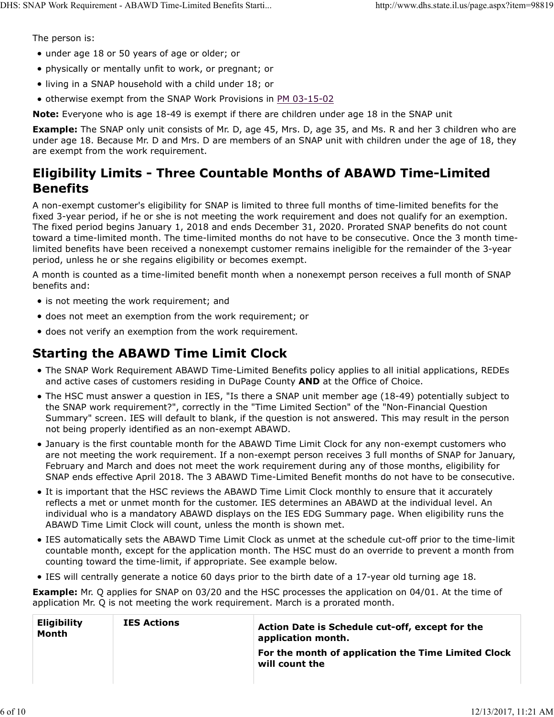The person is:

- under age 18 or 50 years of age or older; or
- physically or mentally unfit to work, or pregnant; or
- living in a SNAP household with a child under 18; or
- otherwise exempt from the SNAP Work Provisions in PM 03-15-02

Note: Everyone who is age 18-49 is exempt if there are children under age 18 in the SNAP unit

**Example:** The SNAP only unit consists of Mr. D, age 45, Mrs. D, age 35, and Ms. R and her 3 children who are under age 18. Because Mr. D and Mrs. D are members of an SNAP unit with children under the age of 18, they are exempt from the work requirement.

#### Eligibility Limits - Three Countable Months of ABAWD Time-Limited Benefits

A non-exempt customer's eligibility for SNAP is limited to three full months of time-limited benefits for the fixed 3-year period, if he or she is not meeting the work requirement and does not qualify for an exemption. The fixed period begins January 1, 2018 and ends December 31, 2020. Prorated SNAP benefits do not count toward a time-limited month. The time-limited months do not have to be consecutive. Once the 3 month timelimited benefits have been received a nonexempt customer remains ineligible for the remainder of the 3-year period, unless he or she regains eligibility or becomes exempt.

A month is counted as a time-limited benefit month when a nonexempt person receives a full month of SNAP benefits and:

- is not meeting the work requirement; and
- does not meet an exemption from the work requirement; or
- does not verify an exemption from the work requirement.

#### Starting the ABAWD Time Limit Clock

- The SNAP Work Requirement ABAWD Time-Limited Benefits policy applies to all initial applications, REDEs and active cases of customers residing in DuPage County AND at the Office of Choice.
- The HSC must answer a question in IES, "Is there a SNAP unit member age (18-49) potentially subject to the SNAP work requirement?", correctly in the "Time Limited Section" of the "Non-Financial Question Summary" screen. IES will default to blank, if the question is not answered. This may result in the person not being properly identified as an non-exempt ABAWD.
- January is the first countable month for the ABAWD Time Limit Clock for any non-exempt customers who are not meeting the work requirement. If a non-exempt person receives 3 full months of SNAP for January, February and March and does not meet the work requirement during any of those months, eligibility for SNAP ends effective April 2018. The 3 ABAWD Time-Limited Benefit months do not have to be consecutive.
- It is important that the HSC reviews the ABAWD Time Limit Clock monthly to ensure that it accurately reflects a met or unmet month for the customer. IES determines an ABAWD at the individual level. An individual who is a mandatory ABAWD displays on the IES EDG Summary page. When eligibility runs the ABAWD Time Limit Clock will count, unless the month is shown met.
- IES automatically sets the ABAWD Time Limit Clock as unmet at the schedule cut-off prior to the time-limit countable month, except for the application month. The HSC must do an override to prevent a month from counting toward the time-limit, if appropriate. See example below.
- IES will centrally generate a notice 60 days prior to the birth date of a 17-year old turning age 18.

|                             |                    | • IES will centrally generate a notice 60 days prior to the birth date of a 17-year old turning age 18.<br><b>Example:</b> Mr. Q applies for SNAP on 03/20 and the HSC processes the application on 04/01. At the time of<br>application Mr. Q is not meeting the work requirement. March is a prorated month. |
|-----------------------------|--------------------|----------------------------------------------------------------------------------------------------------------------------------------------------------------------------------------------------------------------------------------------------------------------------------------------------------------|
| <b>Eligibility</b><br>Month | <b>IES Actions</b> | Action Date is Schedule cut-off, except for the<br>application month.                                                                                                                                                                                                                                          |
|                             |                    | For the month of application the Time Limited Clock<br>will count the                                                                                                                                                                                                                                          |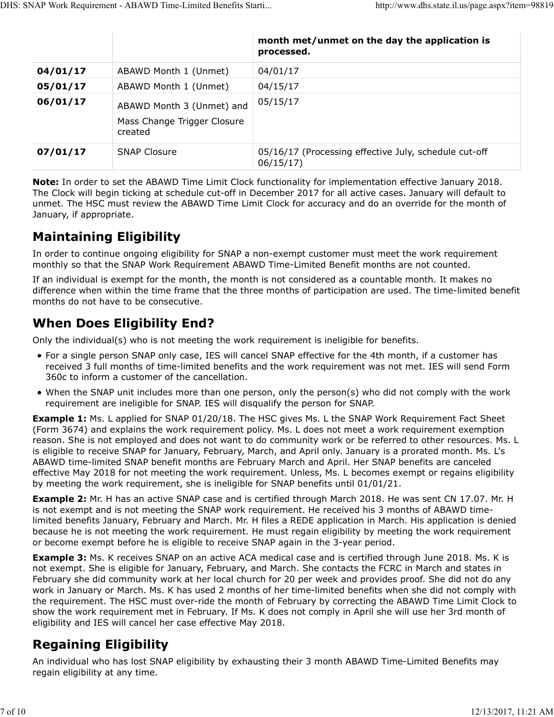|          | DHS: SNAP Work Requirement - ABAWD Time-Limited Benefits Starti | http://www.dhs.state.il.us/page.aspx?item=98819             |  |
|----------|-----------------------------------------------------------------|-------------------------------------------------------------|--|
|          |                                                                 |                                                             |  |
|          |                                                                 | month met/unmet on the day the application is<br>processed. |  |
| 04/01/17 | ABAWD Month 1 (Unmet)                                           | 04/01/17                                                    |  |
| 05/01/17 | ABAWD Month 1 (Unmet)                                           | 04/15/17                                                    |  |
| 06/01/17 | ABAWD Month 3 (Unmet) and                                       | 05/15/17                                                    |  |
|          | Mass Change Trigger Closure<br>created                          |                                                             |  |

Note: In order to set the ABAWD Time Limit Clock functionality for implementation effective January 2018. The Clock will begin ticking at schedule cut-off in December 2017 for all active cases. January will default to unmet. The HSC must review the ABAWD Time Limit Clock for accuracy and do an override for the month of January, if appropriate.

## Maintaining Eligibility

In order to continue ongoing eligibility for SNAP a non-exempt customer must meet the work requirement monthly so that the SNAP Work Requirement ABAWD Time-Limited Benefit months are not counted.

If an individual is exempt for the month, the month is not considered as a countable month. It makes no difference when within the time frame that the three months of participation are used. The time-limited benefit months do not have to be consecutive.

## When Does Eligibility End?

Only the individual(s) who is not meeting the work requirement is ineligible for benefits.

- For a single person SNAP only case, IES will cancel SNAP effective for the 4th month, if a customer has received 3 full months of time-limited benefits and the work requirement was not met. IES will send Form 360c to inform a customer of the cancellation.
- When the SNAP unit includes more than one person, only the person(s) who did not comply with the work requirement are ineligible for SNAP. IES will disqualify the person for SNAP.

**Example 1:** Ms. L applied for SNAP 01/20/18. The HSC gives Ms. L the SNAP Work Requirement Fact Sheet (Form 3674) and explains the work requirement policy. Ms. L does not meet a work requirement exemption reason. She is not employed and does not want to do community work or be referred to other resources. Ms. L is eligible to receive SNAP for January, February, March, and April only. January is a prorated month. Ms. L's ABAWD time-limited SNAP benefit months are February March and April. Her SNAP benefits are canceled effective May 2018 for not meeting the work requirement. Unless, Ms. L becomes exempt or regains eligibility by meeting the work requirement, she is ineligible for SNAP benefits until 01/01/21.

**Example 2:** Mr. H has an active SNAP case and is certified through March 2018. He was sent CN 17.07. Mr. H is not exempt and is not meeting the SNAP work requirement. He received his 3 months of ABAWD timelimited benefits January, February and March. Mr. H files a REDE application in March. His application is denied because he is not meeting the work requirement. He must regain eligibility by meeting the work requirement or become exempt before he is eligible to receive SNAP again in the 3-year period.

**Example 3:** Ms. K receives SNAP on an active ACA medical case and is certified through June 2018. Ms. K is not exempt. She is eligible for January, February, and March. She contacts the FCRC in March and states in February she did community work at her local church for 20 per week and provides proof. She did not do any work in January or March. Ms. K has used 2 months of her time-limited benefits when she did not comply with the requirement. The HSC must over-ride the month of February by correcting the ABAWD Time Limit Clock to show the work requirement met in February. If Ms. K does not comply in April she will use her 3rd month of eligibility and IES will cancel her case effective May 2018. by meeting the work requirement, she is ineligible for SNAP benefits until 01/01/21.<br> **Example 2:** Mr. H ans an active SNAP case and is certified through March 2018. He was sent CN 17.07. Mr. H<br> **Example 2:** Mr. H ans an a

# Regaining Eligibility

An individual who has lost SNAP eligibility by exhausting their 3 month ABAWD Time-Limited Benefits may regain eligibility at any time.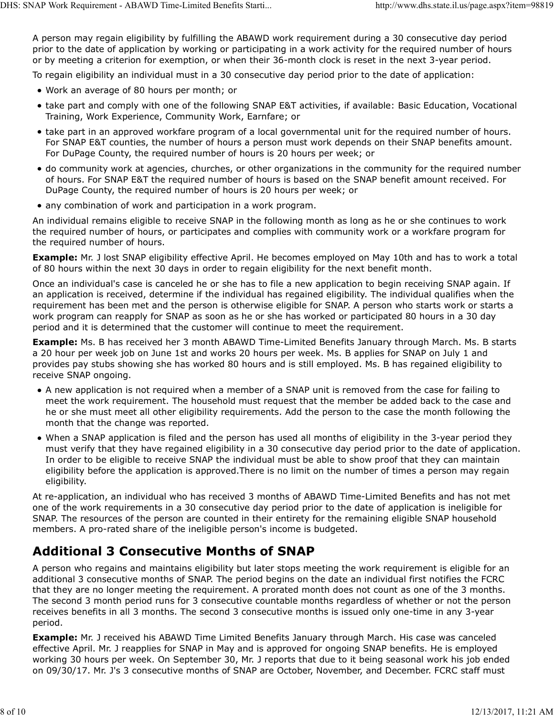A person may regain eligibility by fulfilling the ABAWD work requirement during a 30 consecutive day period prior to the date of application by working or participating in a work activity for the required number of hours or by meeting a criterion for exemption, or when their 36-month clock is reset in the next 3-year period. DHS: SNAP Work Requirement - ABAWD Time-Limited Benefits Starti... http://www.dhs.state.il.us/page.aspx?item=98819<br>A person may regain eligibility by fulfilling the ABAWD work requirement during a 30 consecutive day period

To regain eligibility an individual must in a 30 consecutive day period prior to the date of application:

- Work an average of 80 hours per month; or
- take part and comply with one of the following SNAP E&T activities, if available: Basic Education, Vocational Training, Work Experience, Community Work, Earnfare; or
- take part in an approved workfare program of a local governmental unit for the required number of hours. For SNAP E&T counties, the number of hours a person must work depends on their SNAP benefits amount. For DuPage County, the required number of hours is 20 hours per week; or
- do community work at agencies, churches, or other organizations in the community for the required number of hours. For SNAP E&T the required number of hours is based on the SNAP benefit amount received. For DuPage County, the required number of hours is 20 hours per week; or
- any combination of work and participation in a work program.

An individual remains eligible to receive SNAP in the following month as long as he or she continues to work the required number of hours, or participates and complies with community work or a workfare program for the required number of hours.

**Example:** Mr. J lost SNAP eligibility effective April. He becomes employed on May 10th and has to work a total of 80 hours within the next 30 days in order to regain eligibility for the next benefit month.

Once an individual's case is canceled he or she has to file a new application to begin receiving SNAP again. If an application is received, determine if the individual has regained eligibility. The individual qualifies when the requirement has been met and the person is otherwise eligible for SNAP. A person who starts work or starts a work program can reapply for SNAP as soon as he or she has worked or participated 80 hours in a 30 day period and it is determined that the customer will continue to meet the requirement.

Example: Ms. B has received her 3 month ABAWD Time-Limited Benefits January through March. Ms. B starts a 20 hour per week job on June 1st and works 20 hours per week. Ms. B applies for SNAP on July 1 and provides pay stubs showing she has worked 80 hours and is still employed. Ms. B has regained eligibility to receive SNAP ongoing.

- A new application is not required when a member of a SNAP unit is removed from the case for failing to meet the work requirement. The household must request that the member be added back to the case and he or she must meet all other eligibility requirements. Add the person to the case the month following the month that the change was reported.
- When a SNAP application is filed and the person has used all months of eligibility in the 3-year period they must verify that they have regained eligibility in a 30 consecutive day period prior to the date of application. In order to be eligible to receive SNAP the individual must be able to show proof that they can maintain eligibility before the application is approved.There is no limit on the number of times a person may regain eligibility.

At re-application, an individual who has received 3 months of ABAWD Time-Limited Benefits and has not met one of the work requirements in a 30 consecutive day period prior to the date of application is ineligible for SNAP. The resources of the person are counted in their entirety for the remaining eligible SNAP household members. A pro-rated share of the ineligible person's income is budgeted.

## Additional 3 Consecutive Months of SNAP

A person who regains and maintains eligibility but later stops meeting the work requirement is eligible for an additional 3 consecutive months of SNAP. The period begins on the date an individual first notifies the FCRC that they are no longer meeting the requirement. A prorated month does not count as one of the 3 months. The second 3 month period runs for 3 consecutive countable months regardless of whether or not the person receives benefits in all 3 months. The second 3 consecutive months is issued only one-time in any 3-year period. eligibility.<br>
Ar re-application, an individual who has received 3 months of ABAWD Time-Limited Benefits and has not met<br>
Are one of the work requirements in a 30 consecutive day period prior to the date of application is i

**Example:** Mr. J received his ABAWD Time Limited Benefits January through March. His case was canceled effective April. Mr. J reapplies for SNAP in May and is approved for ongoing SNAP benefits. He is employed working 30 hours per week. On September 30, Mr. J reports that due to it being seasonal work his job ended on 09/30/17. Mr. J's 3 consecutive months of SNAP are October, November, and December. FCRC staff must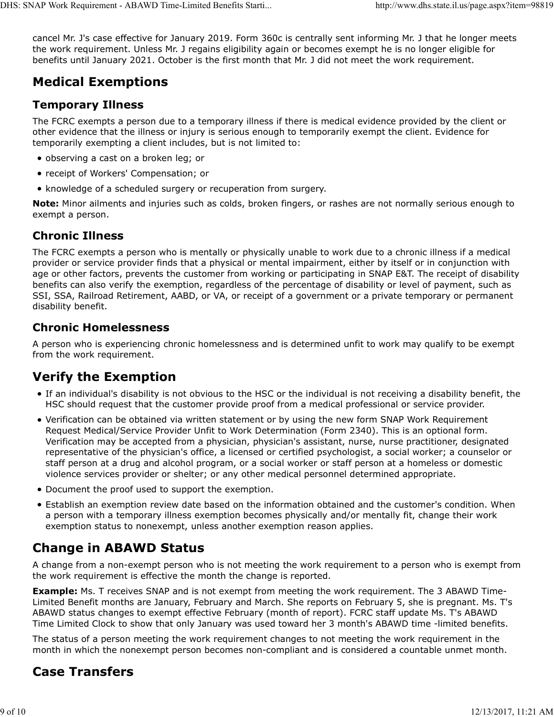cancel Mr. J's case effective for January 2019. Form 360c is centrally sent informing Mr. J that he longer meets the work requirement. Unless Mr. J regains eligibility again or becomes exempt he is no longer eligible for benefits until January 2021. October is the first month that Mr. J did not meet the work requirement. DHS: SNAP Work Requirement - ABAWD Time-Limited Benefits Starti... http://www.dhs.state.il.us/page.aspx?item=98819<br>cancel Mr. J's case effective for January 2019. Form 360c is centrally sent informing Mr. J that he longer

# Medical Exemptions

#### Temporary Illness

The FCRC exempts a person due to a temporary illness if there is medical evidence provided by the client or other evidence that the illness or injury is serious enough to temporarily exempt the client. Evidence for temporarily exempting a client includes, but is not limited to:

- observing a cast on a broken leg; or
- receipt of Workers' Compensation; or
- knowledge of a scheduled surgery or recuperation from surgery.

Note: Minor ailments and injuries such as colds, broken fingers, or rashes are not normally serious enough to exempt a person.

#### Chronic Illness

The FCRC exempts a person who is mentally or physically unable to work due to a chronic illness if a medical provider or service provider finds that a physical or mental impairment, either by itself or in conjunction with age or other factors, prevents the customer from working or participating in SNAP E&T. The receipt of disability benefits can also verify the exemption, regardless of the percentage of disability or level of payment, such as SSI, SSA, Railroad Retirement, AABD, or VA, or receipt of a government or a private temporary or permanent disability benefit.

#### Chronic Homelessness

A person who is experiencing chronic homelessness and is determined unfit to work may qualify to be exempt from the work requirement.

# Verify the Exemption

- If an individual's disability is not obvious to the HSC or the individual is not receiving a disability benefit, the HSC should request that the customer provide proof from a medical professional or service provider.
- Verification can be obtained via written statement or by using the new form SNAP Work Requirement Request Medical/Service Provider Unfit to Work Determination (Form 2340). This is an optional form. Verification may be accepted from a physician, physician's assistant, nurse, nurse practitioner, designated representative of the physician's office, a licensed or certified psychologist, a social worker; a counselor or staff person at a drug and alcohol program, or a social worker or staff person at a homeless or domestic violence services provider or shelter; or any other medical personnel determined appropriate.
- Document the proof used to support the exemption.
- Establish an exemption review date based on the information obtained and the customer's condition. When a person with a temporary illness exemption becomes physically and/or mentally fit, change their work exemption status to nonexempt, unless another exemption reason applies.

# Change in ABAWD Status

A change from a non-exempt person who is not meeting the work requirement to a person who is exempt from the work requirement is effective the month the change is reported.

**Example:** Ms. T receives SNAP and is not exempt from meeting the work requirement. The 3 ABAWD Time-Limited Benefit months are January, February and March. She reports on February 5, she is pregnant. Ms. T's ABAWD status changes to exempt effective February (month of report). FCRC staff update Ms. T's ABAWD Time Limited Clock to show that only January was used toward her 3 month's ABAWD time -limited benefits. • Document the proof used to support the exemption.<br>
• Document the proof used to support the exemption.<br>
• Establish an exemption review date based on the information obtained and the customer's condition. When<br>
a person

The status of a person meeting the work requirement changes to not meeting the work requirement in the month in which the nonexempt person becomes non-compliant and is considered a countable unmet month.

# Case Transfers